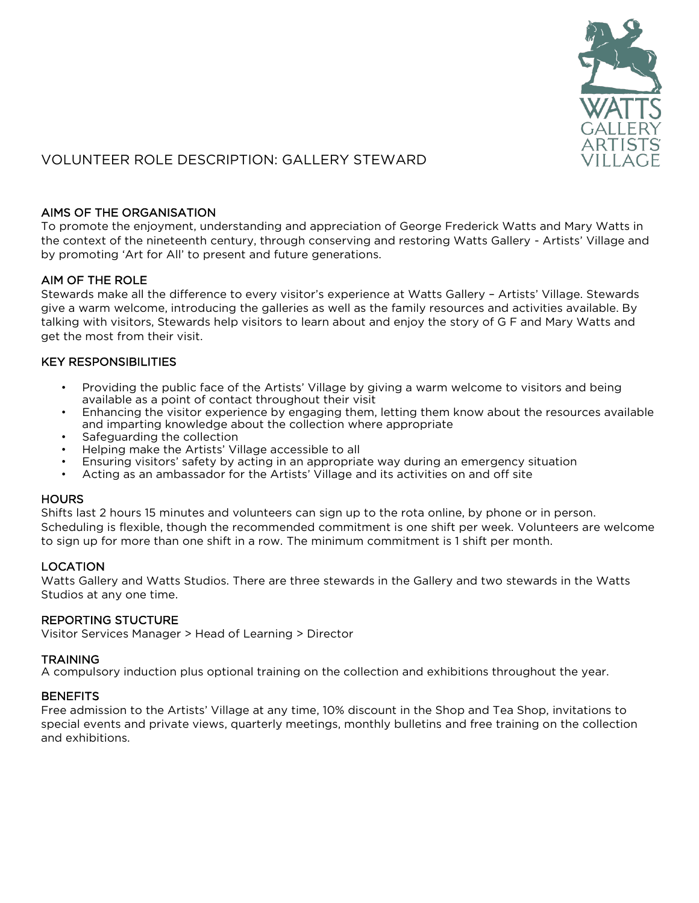

# VOLUNTEER ROLE DESCRIPTION: GALLERY STEWARD

# AIMS OF THE ORGANISATION

To promote the enjoyment, understanding and appreciation of George Frederick Watts and Mary Watts in the context of the nineteenth century, through conserving and restoring Watts Gallery - Artists' Village and by promoting 'Art for All' to present and future generations.

# AIM OF THE ROLE

Stewards make all the difference to every visitor's experience at Watts Gallery – Artists' Village. Stewards give a warm welcome, introducing the galleries as well as the family resources and activities available. By talking with visitors, Stewards help visitors to learn about and enjoy the story of G F and Mary Watts and get the most from their visit.

## KEY RESPONSIBILITIES

- Providing the public face of the Artists' Village by giving a warm welcome to visitors and being available as a point of contact throughout their visit
- Enhancing the visitor experience by engaging them, letting them know about the resources available and imparting knowledge about the collection where appropriate
- Safeguarding the collection
- Helping make the Artists' Village accessible to all
- Ensuring visitors' safety by acting in an appropriate way during an emergency situation
- Acting as an ambassador for the Artists' Village and its activities on and off site

## **HOURS**

Shifts last 2 hours 15 minutes and volunteers can sign up to the rota online, by phone or in person. Scheduling is flexible, though the recommended commitment is one shift per week. Volunteers are welcome to sign up for more than one shift in a row. The minimum commitment is 1 shift per month.

## LOCATION

Watts Gallery and Watts Studios. There are three stewards in the Gallery and two stewards in the Watts Studios at any one time.

## REPORTING STUCTURE

Visitor Services Manager > Head of Learning > Director

## **TRAINING**

A compulsory induction plus optional training on the collection and exhibitions throughout the year.

## **BENEFITS**

Free admission to the Artists' Village at any time, 10% discount in the Shop and Tea Shop, invitations to special events and private views, quarterly meetings, monthly bulletins and free training on the collection and exhibitions.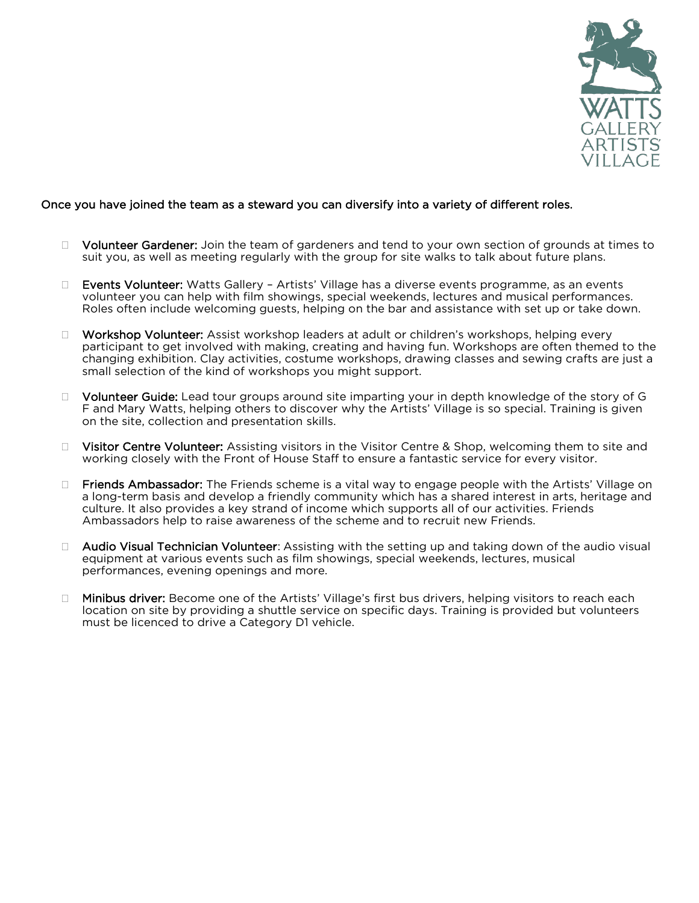

#### Once you have joined the team as a steward you can diversify into a variety of different roles.

- □ Volunteer Gardener: Join the team of gardeners and tend to your own section of grounds at times to suit you, as well as meeting regularly with the group for site walks to talk about future plans.
- □ Events Volunteer: Watts Gallery Artists' Village has a diverse events programme, as an events volunteer you can help with film showings, special weekends, lectures and musical performances. Roles often include welcoming guests, helping on the bar and assistance with set up or take down.
- □ Workshop Volunteer: Assist workshop leaders at adult or children's workshops, helping every participant to get involved with making, creating and having fun. Workshops are often themed to the changing exhibition. Clay activities, costume workshops, drawing classes and sewing crafts are just a small selection of the kind of workshops you might support.
- $\Box$  Volunteer Guide: Lead tour groups around site imparting your in depth knowledge of the story of G F and Mary Watts, helping others to discover why the Artists' Village is so special. Training is given on the site, collection and presentation skills.
- $\Box$  Visitor Centre Volunteer: Assisting visitors in the Visitor Centre & Shop, welcoming them to site and working closely with the Front of House Staff to ensure a fantastic service for every visitor.
- $\Box$  Friends Ambassador: The Friends scheme is a vital way to engage people with the Artists' Village on a long-term basis and develop a friendly community which has a shared interest in arts, heritage and culture. It also provides a key strand of income which supports all of our activities. Friends Ambassadors help to raise awareness of the scheme and to recruit new Friends.
- □ Audio Visual Technician Volunteer: Assisting with the setting up and taking down of the audio visual equipment at various events such as film showings, special weekends, lectures, musical performances, evening openings and more.
- □ Minibus driver: Become one of the Artists' Village's first bus drivers, helping visitors to reach each location on site by providing a shuttle service on specific days. Training is provided but volunteers must be licenced to drive a Category D1 vehicle.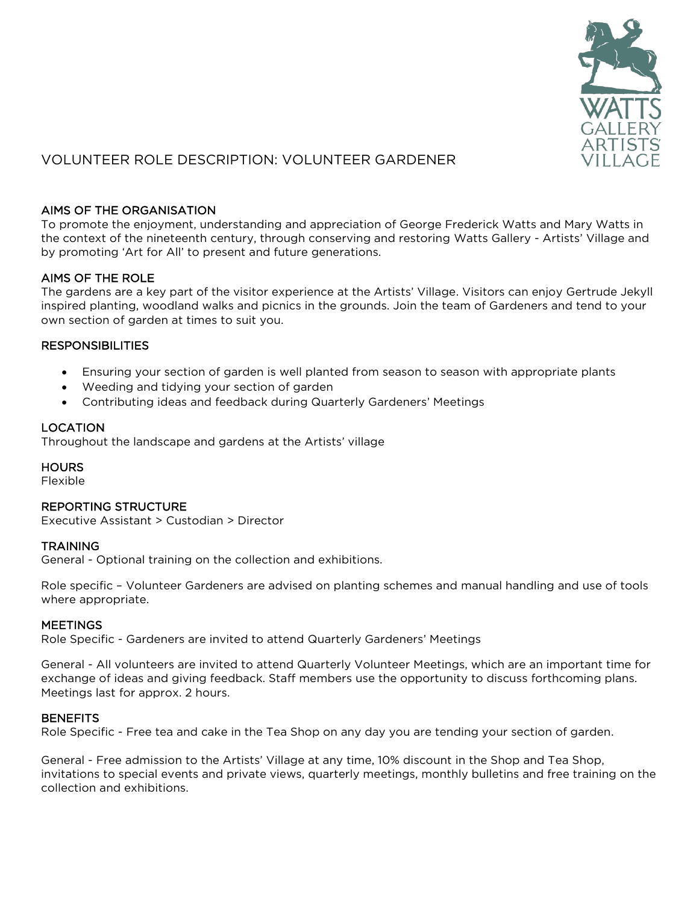

# VOLUNTEER ROLE DESCRIPTION: VOLUNTEER GARDENER

# AIMS OF THE ORGANISATION

To promote the enjoyment, understanding and appreciation of George Frederick Watts and Mary Watts in the context of the nineteenth century, through conserving and restoring Watts Gallery - Artists' Village and by promoting 'Art for All' to present and future generations.

# AIMS OF THE ROLE

The gardens are a key part of the visitor experience at the Artists' Village. Visitors can enjoy Gertrude Jekyll inspired planting, woodland walks and picnics in the grounds. Join the team of Gardeners and tend to your own section of garden at times to suit you.

## RESPONSIBILITIES

- Ensuring your section of garden is well planted from season to season with appropriate plants
- Weeding and tidying your section of garden
- Contributing ideas and feedback during Quarterly Gardeners' Meetings

## LOCATION

Throughout the landscape and gardens at the Artists' village

## **HOURS**

Flexible

## REPORTING STRUCTURE

Executive Assistant > Custodian > Director

## **TRAINING**

General - Optional training on the collection and exhibitions.

Role specific – Volunteer Gardeners are advised on planting schemes and manual handling and use of tools where appropriate.

## **MEETINGS**

Role Specific - Gardeners are invited to attend Quarterly Gardeners' Meetings

General - All volunteers are invited to attend Quarterly Volunteer Meetings, which are an important time for exchange of ideas and giving feedback. Staff members use the opportunity to discuss forthcoming plans. Meetings last for approx. 2 hours.

## **BENEFITS**

Role Specific - Free tea and cake in the Tea Shop on any day you are tending your section of garden.

General - Free admission to the Artists' Village at any time, 10% discount in the Shop and Tea Shop, invitations to special events and private views, quarterly meetings, monthly bulletins and free training on the collection and exhibitions.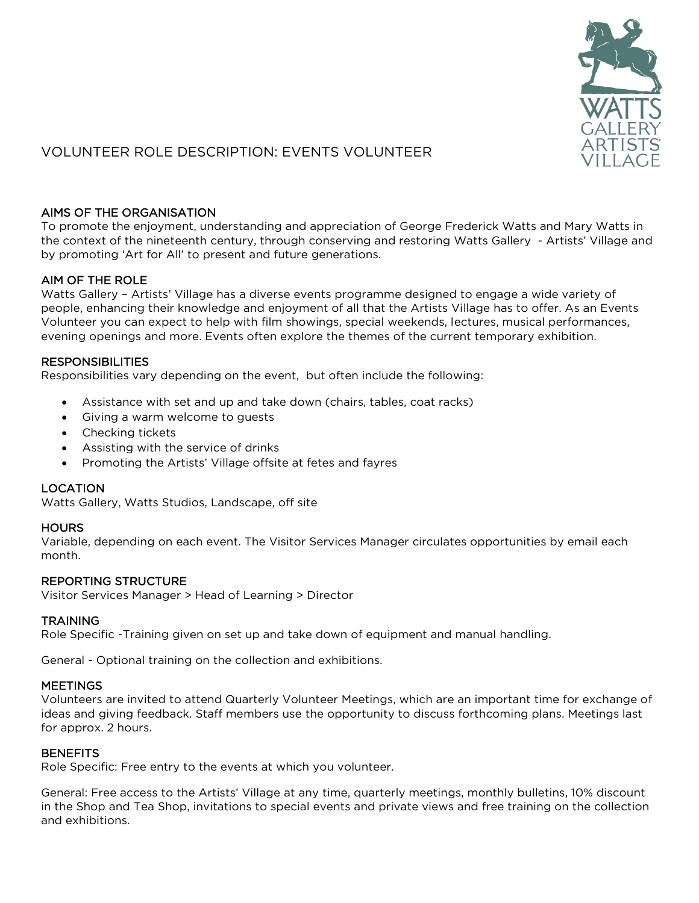

# VOLUNTEER ROLE DESCRIPTION: EVENTS VOLUNTEER

# AIMS OF THE ORGANISATION

To promote the enjoyment, understanding and appreciation of George Frederick Watts and Mary Watts in the context of the nineteenth century, through conserving and restoring Watts Gallery - Artists' Village and by promoting 'Art for All' to present and future generations.

# AIM OF THE ROLE

Watts Gallery – Artists' Village has a diverse events programme designed to engage a wide variety of people, enhancing their knowledge and enjoyment of all that the Artists Village has to offer. As an Events Volunteer you can expect to help with film showings, special weekends, lectures, musical performances, evening openings and more. Events often explore the themes of the current temporary exhibition.

## **RESPONSIBILITIES**

Responsibilities vary depending on the event, but often include the following:

- Assistance with set and up and take down (chairs, tables, coat racks)
- Giving a warm welcome to guests
- Checking tickets
- Assisting with the service of drinks
- Promoting the Artists' Village offsite at fetes and fayres

# LOCATION

Watts Gallery, Watts Studios, Landscape, off site

## **HOURS**

Variable, depending on each event. The Visitor Services Manager circulates opportunities by email each month.

## REPORTING STRUCTURE

Visitor Services Manager > Head of Learning > Director

## **TRAINING**

Role Specific -Training given on set up and take down of equipment and manual handling.

General - Optional training on the collection and exhibitions.

## **MEETINGS**

Volunteers are invited to attend Quarterly Volunteer Meetings, which are an important time for exchange of ideas and giving feedback. Staff members use the opportunity to discuss forthcoming plans. Meetings last for approx. 2 hours.

## **BENEFITS**

Role Specific: Free entry to the events at which you volunteer.

General: Free access to the Artists' Village at any time, quarterly meetings, monthly bulletins, 10% discount in the Shop and Tea Shop, invitations to special events and private views and free training on the collection and exhibitions.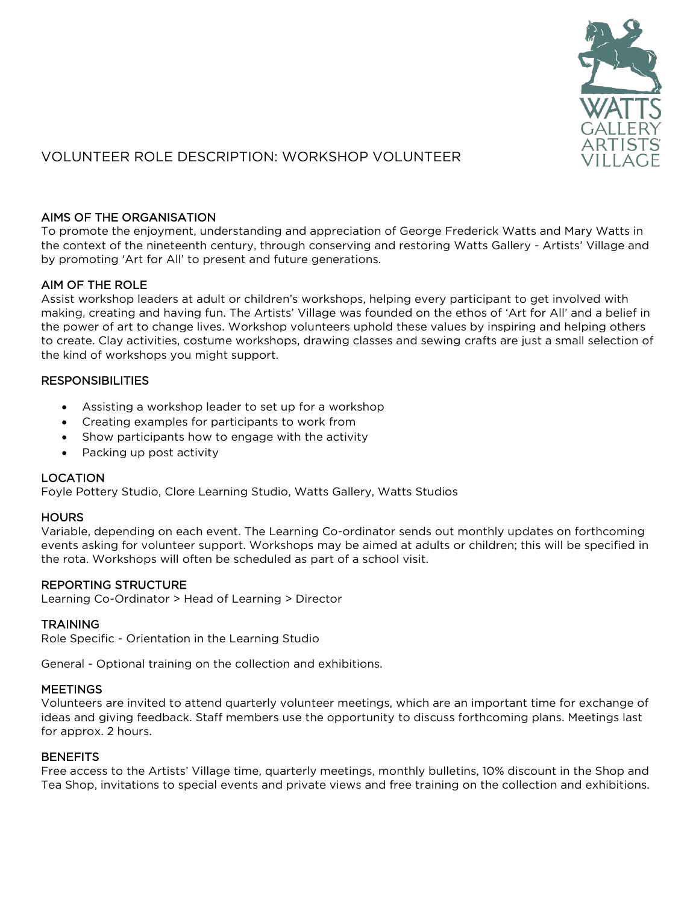

# VOLUNTEER ROLE DESCRIPTION: WORKSHOP VOLUNTEER

# AIMS OF THE ORGANISATION

To promote the enjoyment, understanding and appreciation of George Frederick Watts and Mary Watts in the context of the nineteenth century, through conserving and restoring Watts Gallery - Artists' Village and by promoting 'Art for All' to present and future generations.

# AIM OF THE ROLE

Assist workshop leaders at adult or children's workshops, helping every participant to get involved with making, creating and having fun. The Artists' Village was founded on the ethos of 'Art for All' and a belief in the power of art to change lives. Workshop volunteers uphold these values by inspiring and helping others to create. Clay activities, costume workshops, drawing classes and sewing crafts are just a small selection of the kind of workshops you might support.

# **RESPONSIBILITIES**

- Assisting a workshop leader to set up for a workshop
- Creating examples for participants to work from
- Show participants how to engage with the activity
- Packing up post activity

# LOCATION

Foyle Pottery Studio, Clore Learning Studio, Watts Gallery, Watts Studios

## **HOURS**

Variable, depending on each event. The Learning Co-ordinator sends out monthly updates on forthcoming events asking for volunteer support. Workshops may be aimed at adults or children; this will be specified in the rota. Workshops will often be scheduled as part of a school visit.

## REPORTING STRUCTURE

Learning Co-Ordinator > Head of Learning > Director

## **TRAINING**

Role Specific - Orientation in the Learning Studio

General - Optional training on the collection and exhibitions.

## **MEETINGS**

Volunteers are invited to attend quarterly volunteer meetings, which are an important time for exchange of ideas and giving feedback. Staff members use the opportunity to discuss forthcoming plans. Meetings last for approx. 2 hours.

## **BENEFITS**

Free access to the Artists' Village time, quarterly meetings, monthly bulletins, 10% discount in the Shop and Tea Shop, invitations to special events and private views and free training on the collection and exhibitions.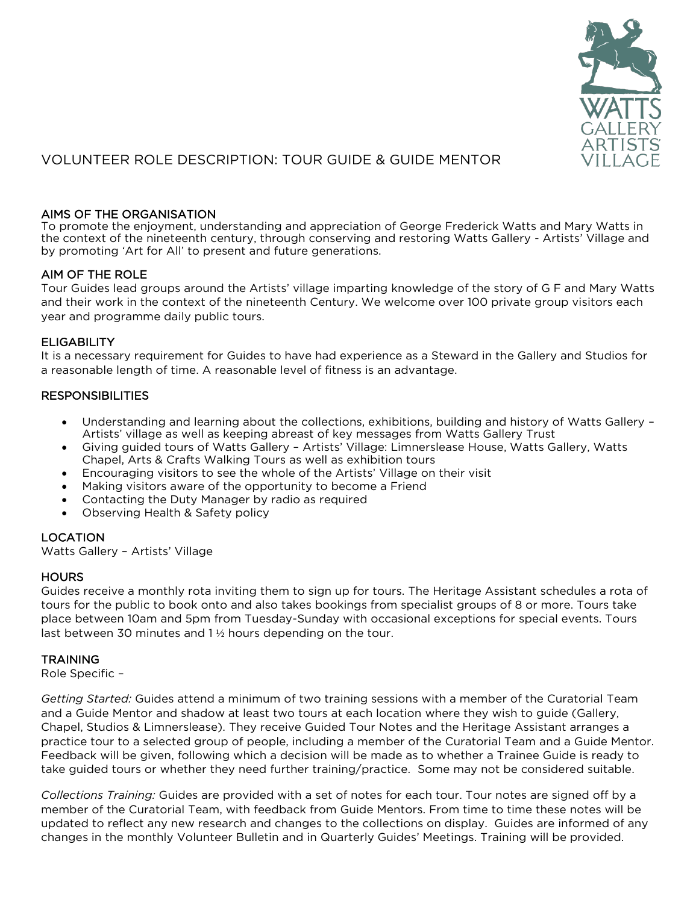

# VOLUNTEER ROLE DESCRIPTION: TOUR GUIDE & GUIDE MENTOR

# AIMS OF THE ORGANISATION

To promote the enjoyment, understanding and appreciation of George Frederick Watts and Mary Watts in the context of the nineteenth century, through conserving and restoring Watts Gallery - Artists' Village and by promoting 'Art for All' to present and future generations.

## AIM OF THE ROLE

Tour Guides lead groups around the Artists' village imparting knowledge of the story of G F and Mary Watts and their work in the context of the nineteenth Century. We welcome over 100 private group visitors each year and programme daily public tours.

## **ELIGABILITY**

It is a necessary requirement for Guides to have had experience as a Steward in the Gallery and Studios for a reasonable length of time. A reasonable level of fitness is an advantage.

## **RESPONSIBILITIES**

- Understanding and learning about the collections, exhibitions, building and history of Watts Gallery Artists' village as well as keeping abreast of key messages from Watts Gallery Trust
- Giving guided tours of Watts Gallery Artists' Village: Limnerslease House, Watts Gallery, Watts Chapel, Arts & Crafts Walking Tours as well as exhibition tours
- Encouraging visitors to see the whole of the Artists' Village on their visit
- Making visitors aware of the opportunity to become a Friend
- Contacting the Duty Manager by radio as required
- Observing Health & Safety policy

# LOCATION

Watts Gallery – Artists' Village

## **HOURS**

Guides receive a monthly rota inviting them to sign up for tours. The Heritage Assistant schedules a rota of tours for the public to book onto and also takes bookings from specialist groups of 8 or more. Tours take place between 10am and 5pm from Tuesday-Sunday with occasional exceptions for special events. Tours last between 30 minutes and 1 ½ hours depending on the tour.

## **TRAINING**

Role Specific –

*Getting Started:* Guides attend a minimum of two training sessions with a member of the Curatorial Team and a Guide Mentor and shadow at least two tours at each location where they wish to guide (Gallery, Chapel, Studios & Limnerslease). They receive Guided Tour Notes and the Heritage Assistant arranges a practice tour to a selected group of people, including a member of the Curatorial Team and a Guide Mentor. Feedback will be given, following which a decision will be made as to whether a Trainee Guide is ready to take guided tours or whether they need further training/practice. Some may not be considered suitable.

*Collections Training:* Guides are provided with a set of notes for each tour. Tour notes are signed off by a member of the Curatorial Team, with feedback from Guide Mentors. From time to time these notes will be updated to reflect any new research and changes to the collections on display. Guides are informed of any changes in the monthly Volunteer Bulletin and in Quarterly Guides' Meetings. Training will be provided.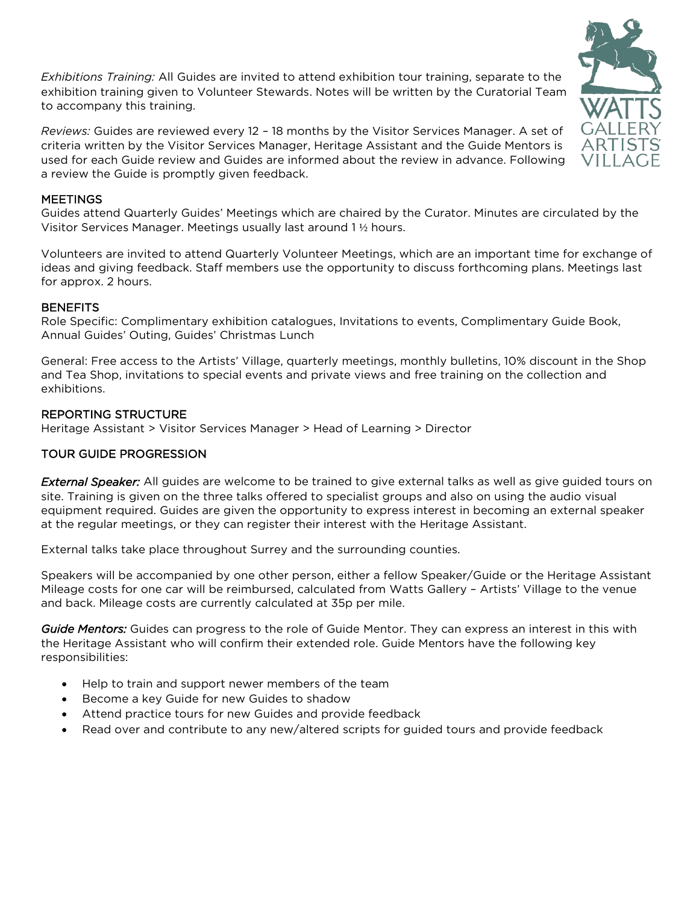*Exhibitions Training:* All Guides are invited to attend exhibition tour training, separate to the exhibition training given to Volunteer Stewards. Notes will be written by the Curatorial Team to accompany this training.

*Reviews:* Guides are reviewed every 12 – 18 months by the Visitor Services Manager. A set of criteria written by the Visitor Services Manager, Heritage Assistant and the Guide Mentors is used for each Guide review and Guides are informed about the review in advance. Following a review the Guide is promptly given feedback.

## **MEETINGS**

Guides attend Quarterly Guides' Meetings which are chaired by the Curator. Minutes are circulated by the Visitor Services Manager. Meetings usually last around 1 ½ hours.

Volunteers are invited to attend Quarterly Volunteer Meetings, which are an important time for exchange of ideas and giving feedback. Staff members use the opportunity to discuss forthcoming plans. Meetings last for approx. 2 hours.

## **BENEFITS**

Role Specific: Complimentary exhibition catalogues, Invitations to events, Complimentary Guide Book, Annual Guides' Outing, Guides' Christmas Lunch

General: Free access to the Artists' Village, quarterly meetings, monthly bulletins, 10% discount in the Shop and Tea Shop, invitations to special events and private views and free training on the collection and exhibitions.

## REPORTING STRUCTURE

Heritage Assistant > Visitor Services Manager > Head of Learning > Director

## TOUR GUIDE PROGRESSION

*External Speaker:* All guides are welcome to be trained to give external talks as well as give guided tours on site. Training is given on the three talks offered to specialist groups and also on using the audio visual equipment required. Guides are given the opportunity to express interest in becoming an external speaker at the regular meetings, or they can register their interest with the Heritage Assistant.

External talks take place throughout Surrey and the surrounding counties.

Speakers will be accompanied by one other person, either a fellow Speaker/Guide or the Heritage Assistant Mileage costs for one car will be reimbursed, calculated from Watts Gallery – Artists' Village to the venue and back. Mileage costs are currently calculated at 35p per mile.

*Guide Mentors:* Guides can progress to the role of Guide Mentor. They can express an interest in this with the Heritage Assistant who will confirm their extended role. Guide Mentors have the following key responsibilities:

- Help to train and support newer members of the team
- Become a key Guide for new Guides to shadow
- Attend practice tours for new Guides and provide feedback
- Read over and contribute to any new/altered scripts for guided tours and provide feedback

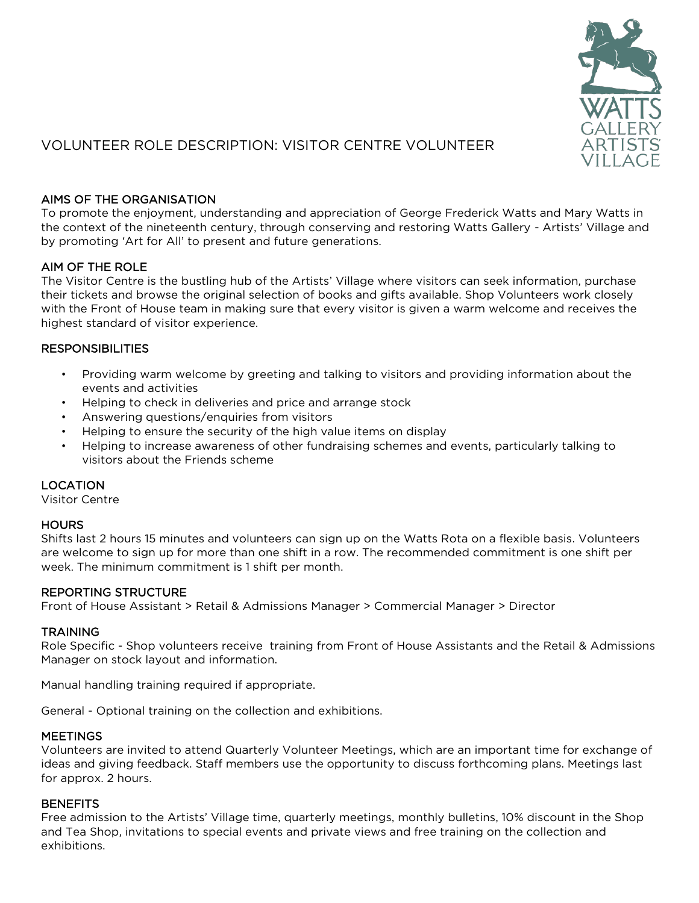

# VOLUNTEER ROLE DESCRIPTION: VISITOR CENTRE VOLUNTEER

## AIMS OF THE ORGANISATION

To promote the enjoyment, understanding and appreciation of George Frederick Watts and Mary Watts in the context of the nineteenth century, through conserving and restoring Watts Gallery - Artists' Village and by promoting 'Art for All' to present and future generations.

## AIM OF THE ROLE

The Visitor Centre is the bustling hub of the Artists' Village where visitors can seek information, purchase their tickets and browse the original selection of books and gifts available. Shop Volunteers work closely with the Front of House team in making sure that every visitor is given a warm welcome and receives the highest standard of visitor experience.

## **RESPONSIBILITIES**

- Providing warm welcome by greeting and talking to visitors and providing information about the events and activities
- Helping to check in deliveries and price and arrange stock
- Answering questions/enquiries from visitors
- Helping to ensure the security of the high value items on display
- Helping to increase awareness of other fundraising schemes and events, particularly talking to visitors about the Friends scheme

# LOCATION

Visitor Centre

## **HOURS**

Shifts last 2 hours 15 minutes and volunteers can sign up on the Watts Rota on a flexible basis. Volunteers are welcome to sign up for more than one shift in a row. The recommended commitment is one shift per week. The minimum commitment is 1 shift per month.

# REPORTING STRUCTURE

Front of House Assistant > Retail & Admissions Manager > Commercial Manager > Director

## **TRAINING**

Role Specific - Shop volunteers receive training from Front of House Assistants and the Retail & Admissions Manager on stock layout and information.

Manual handling training required if appropriate.

General - Optional training on the collection and exhibitions.

## **MEETINGS**

Volunteers are invited to attend Quarterly Volunteer Meetings, which are an important time for exchange of ideas and giving feedback. Staff members use the opportunity to discuss forthcoming plans. Meetings last for approx. 2 hours.

## **BENEFITS**

Free admission to the Artists' Village time, quarterly meetings, monthly bulletins, 10% discount in the Shop and Tea Shop, invitations to special events and private views and free training on the collection and exhibitions.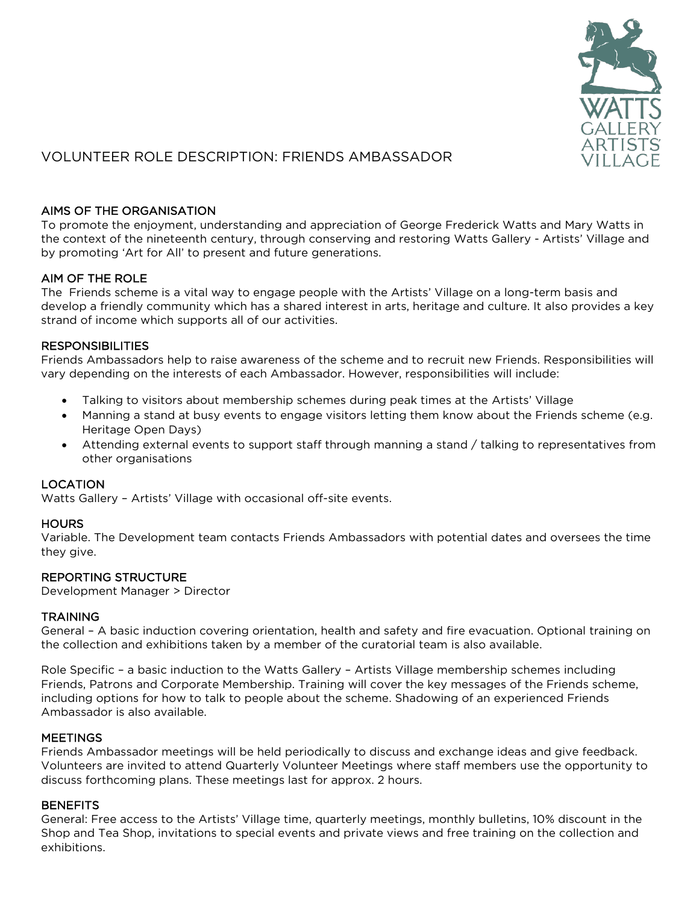

# VOLUNTEER ROLE DESCRIPTION: FRIENDS AMBASSADOR

# AIMS OF THE ORGANISATION

To promote the enjoyment, understanding and appreciation of George Frederick Watts and Mary Watts in the context of the nineteenth century, through conserving and restoring Watts Gallery - Artists' Village and by promoting 'Art for All' to present and future generations.

# AIM OF THE ROLE

The Friends scheme is a vital way to engage people with the Artists' Village on a long-term basis and develop a friendly community which has a shared interest in arts, heritage and culture. It also provides a key strand of income which supports all of our activities.

# **RESPONSIBILITIES**

Friends Ambassadors help to raise awareness of the scheme and to recruit new Friends. Responsibilities will vary depending on the interests of each Ambassador. However, responsibilities will include:

- Talking to visitors about membership schemes during peak times at the Artists' Village
- Manning a stand at busy events to engage visitors letting them know about the Friends scheme (e.g. Heritage Open Days)
- Attending external events to support staff through manning a stand / talking to representatives from other organisations

# LOCATION

Watts Gallery – Artists' Village with occasional off-site events.

# **HOURS**

Variable. The Development team contacts Friends Ambassadors with potential dates and oversees the time they give.

# REPORTING STRUCTURE

Development Manager > Director

# **TRAINING**

General – A basic induction covering orientation, health and safety and fire evacuation. Optional training on the collection and exhibitions taken by a member of the curatorial team is also available.

Role Specific – a basic induction to the Watts Gallery – Artists Village membership schemes including Friends, Patrons and Corporate Membership. Training will cover the key messages of the Friends scheme, including options for how to talk to people about the scheme. Shadowing of an experienced Friends Ambassador is also available.

# **MEETINGS**

Friends Ambassador meetings will be held periodically to discuss and exchange ideas and give feedback. Volunteers are invited to attend Quarterly Volunteer Meetings where staff members use the opportunity to discuss forthcoming plans. These meetings last for approx. 2 hours.

# **BENEFITS**

General: Free access to the Artists' Village time, quarterly meetings, monthly bulletins, 10% discount in the Shop and Tea Shop, invitations to special events and private views and free training on the collection and exhibitions.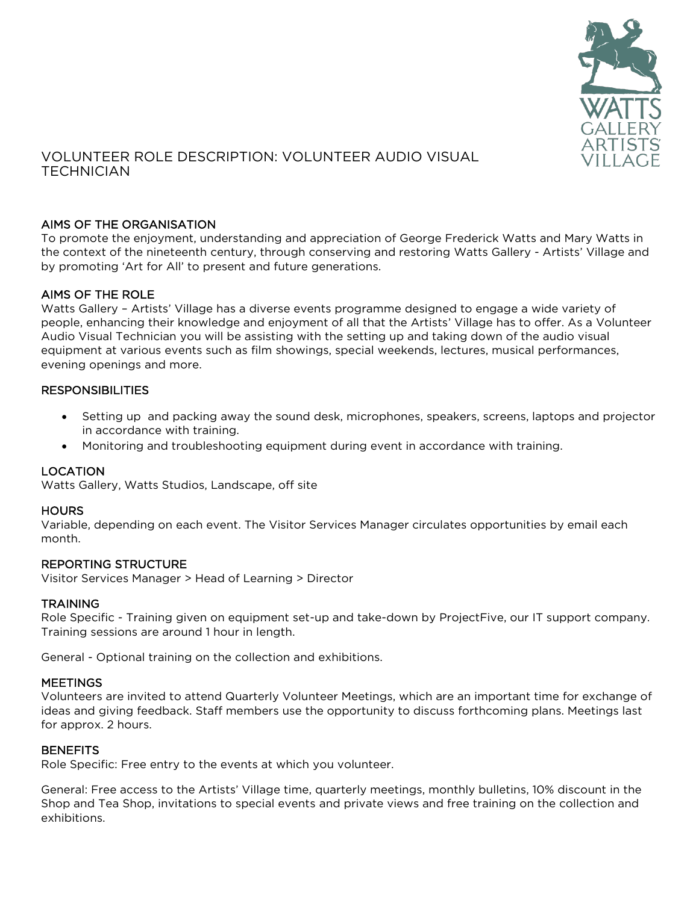

# VOLUNTEER ROLE DESCRIPTION: VOLUNTEER AUDIO VISUAL **TECHNICIAN**

# AIMS OF THE ORGANISATION

To promote the enjoyment, understanding and appreciation of George Frederick Watts and Mary Watts in the context of the nineteenth century, through conserving and restoring Watts Gallery - Artists' Village and by promoting 'Art for All' to present and future generations.

# AIMS OF THE ROLE

Watts Gallery – Artists' Village has a diverse events programme designed to engage a wide variety of people, enhancing their knowledge and enjoyment of all that the Artists' Village has to offer. As a Volunteer Audio Visual Technician you will be assisting with the setting up and taking down of the audio visual equipment at various events such as film showings, special weekends, lectures, musical performances, evening openings and more.

#### **RESPONSIBILITIES**

- Setting up and packing away the sound desk, microphones, speakers, screens, laptops and projector in accordance with training.
- Monitoring and troubleshooting equipment during event in accordance with training.

## LOCATION

Watts Gallery, Watts Studios, Landscape, off site

#### **HOURS**

Variable, depending on each event. The Visitor Services Manager circulates opportunities by email each month.

#### REPORTING STRUCTURE

Visitor Services Manager > Head of Learning > Director

#### **TRAINING**

Role Specific - Training given on equipment set-up and take-down by ProjectFive, our IT support company. Training sessions are around 1 hour in length.

General - Optional training on the collection and exhibitions.

#### **MEETINGS**

Volunteers are invited to attend Quarterly Volunteer Meetings, which are an important time for exchange of ideas and giving feedback. Staff members use the opportunity to discuss forthcoming plans. Meetings last for approx. 2 hours.

#### **BENEFITS**

Role Specific: Free entry to the events at which you volunteer.

General: Free access to the Artists' Village time, quarterly meetings, monthly bulletins, 10% discount in the Shop and Tea Shop, invitations to special events and private views and free training on the collection and exhibitions.